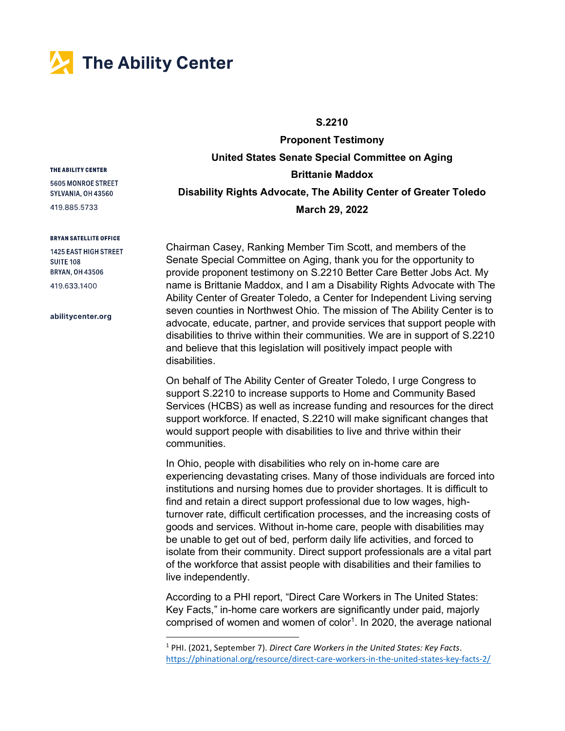

## S.2210

Proponent Testimony United States Senate Special Committee on Aging Brittanie Maddox Disability Rights Advocate, The Ability Center of Greater Toledo March 29, 2022

Chairman Casey, Ranking Member Tim Scott, and members of the Senate Special Committee on Aging, thank you for the opportunity to provide proponent testimony on S.2210 Better Care Better Jobs Act. My name is Brittanie Maddox, and I am a Disability Rights Advocate with The Ability Center of Greater Toledo, a Center for Independent Living serving seven counties in Northwest Ohio. The mission of The Ability Center is to advocate, educate, partner, and provide services that support people with disabilities to thrive within their communities. We are in support of S.2210 and believe that this legislation will positively impact people with disabilities.

On behalf of The Ability Center of Greater Toledo, I urge Congress to support S.2210 to increase supports to Home and Community Based Services (HCBS) as well as increase funding and resources for the direct support workforce. If enacted, S.2210 will make significant changes that would support people with disabilities to live and thrive within their communities.

In Ohio, people with disabilities who rely on in-home care are experiencing devastating crises. Many of those individuals are forced into institutions and nursing homes due to provider shortages. It is difficult to find and retain a direct support professional due to low wages, highturnover rate, difficult certification processes, and the increasing costs of goods and services. Without in-home care, people with disabilities may be unable to get out of bed, perform daily life activities, and forced to isolate from their community. Direct support professionals are a vital part of the workforce that assist people with disabilities and their families to live independently.

According to a PHI report, "Direct Care Workers in The United States: Key Facts," in-home care workers are significantly under paid, majorly comprised of women and women of color<sup>1</sup>. In 2020, the average national

## THE ABILITY CENTER

5605 MONROE STREET SYLVANIA, OH 43560

419.885.5733

## **BRYAN SATELLITE OFFICE**

**1425 EAST HIGH STREET SUITE 108 BRYAN, OH 43506** 419.633.1400

abilitycenter.org

<sup>&</sup>lt;sup>1</sup> PHI. (2021, September 7). Direct Care Workers in the United States: Key Facts. https://phinational.org/resource/direct-care-workers-in-the-united-states-key-facts-2/